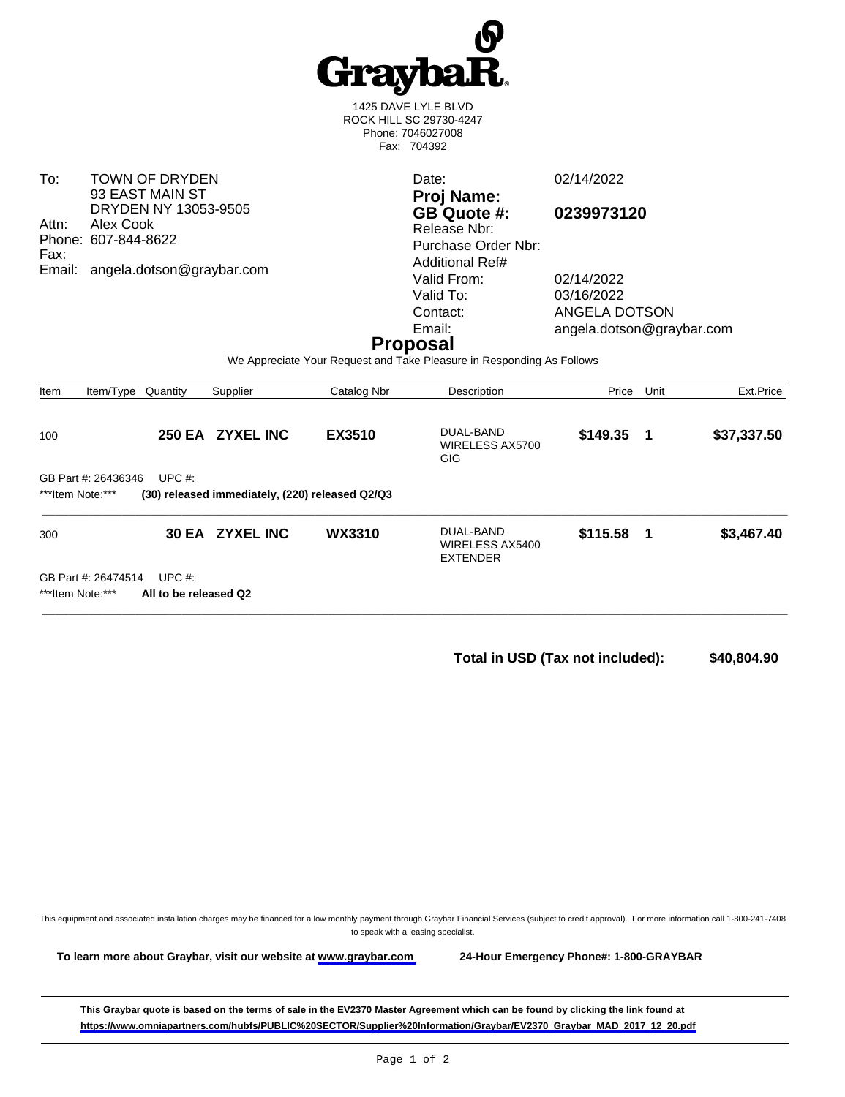

1425 DAVE LYLE BLVD ROCK HILL SC 29730-4247 Phone: 7046027008 Fax: 704392

To: TOWN OF DRYDEN 93 EAST MAIN ST DRYDEN NY 13053-9505 Attn: Alex Cook Phone: 607-844-8622 Fax: Email: angela.dotson@graybar.com

Date: 02/14/2022 **Proj Name: GB Quote #: 0239973120** Release Nbr: Purchase Order Nbr: Additional Ref# Valid From: 02/14/2022

Valid To: 03/16/2022<br>Contact: ANGELA D Contact: ANGELA DOTSON<br>
Email: angela.dotson@gra angela.dotson@graybar.com

## **Proposal**

We Appreciate Your Request and Take Pleasure in Responding As Follows

| Item                                                                                                    | Item/Type                               | Quantity                           | Supplier         | Catalog Nbr   | Description                                     | Price       | Unit | Ext.Price   |
|---------------------------------------------------------------------------------------------------------|-----------------------------------------|------------------------------------|------------------|---------------|-------------------------------------------------|-------------|------|-------------|
| 100                                                                                                     |                                         |                                    | 250 EA ZYXEL INC | <b>EX3510</b> | DUAL-BAND<br>WIRELESS AX5700<br><b>GIG</b>      | \$149.35    | - 1  | \$37,337.50 |
| UPC $#$ :<br>GB Part #: 26436346<br>***Item Note:***<br>(30) released immediately, (220) released Q2/Q3 |                                         |                                    |                  |               |                                                 |             |      |             |
| 300                                                                                                     |                                         |                                    | 30 EA ZYXEL INC  | <b>WX3310</b> | DUAL-BAND<br>WIRELESS AX5400<br><b>EXTENDER</b> | $$115.58$ 1 |      | \$3,467.40  |
|                                                                                                         | GB Part #: 26474514<br>***Item Note:*** | UPC $#$ :<br>All to be released Q2 |                  |               |                                                 |             |      |             |

**Total in USD (Tax not included): \$40,804.90** 

This equipment and associated installation charges may be financed for a low monthly payment through Graybar Financial Services (subject to credit approval). For more information call 1-800-241-7408 to speak with a leasing specialist.

**To learn more about Graybar, visit our website at [www.graybar.com](www.graybar.com ) 24-Hour Emergency Phone#: 1-800-GRAYBAR**

**This Graybar quote is based on the terms of sale in the EV2370 Master Agreement which can be found by clicking the link found at [https://www.omniapartners.com/hubfs/PUBLIC%20SECTOR/Supplier%20Information/Graybar/EV2370\\_Graybar\\_MAD\\_2017\\_12\\_20.pdf](https://www.omniapartners.com/hubfs/PUBLIC%20SECTOR/Supplier%20Information/Graybar/EV2370_Graybar_MAD_2017_12_20.pdf)**